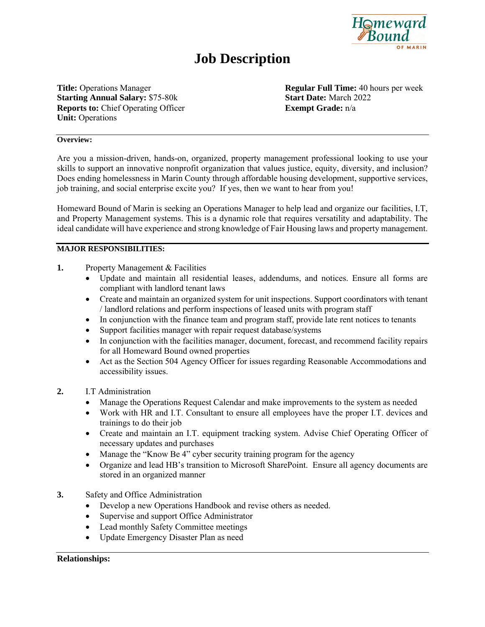

# **Job Description**

**Starting Annual Salary:** \$75-80k **Start Date:** March 2022 **Reports to:** Chief Operating Officer **Exempt Grade:** n/a **Unit:** Operations

**Title:** Operations Manager **Regular Full Time:** 40 hours per week

#### **Overview:**

Are you a mission-driven, hands-on, organized, property management professional looking to use your skills to support an innovative nonprofit organization that values justice, equity, diversity, and inclusion? Does ending homelessness in Marin County through affordable housing development, supportive services, job training, and social enterprise excite you? If yes, then we want to hear from you!

Homeward Bound of Marin is seeking an Operations Manager to help lead and organize our facilities, I.T, and Property Management systems. This is a dynamic role that requires versatility and adaptability. The ideal candidate will have experience and strong knowledge of Fair Housing laws and property management.

## **MAJOR RESPONSIBILITIES:**

- **1.** Property Management & Facilities
	- Update and maintain all residential leases, addendums, and notices. Ensure all forms are compliant with landlord tenant laws
	- Create and maintain an organized system for unit inspections. Support coordinators with tenant / landlord relations and perform inspections of leased units with program staff
	- In conjunction with the finance team and program staff, provide late rent notices to tenants
	- Support facilities manager with repair request database/systems
	- In conjunction with the facilities manager, document, forecast, and recommend facility repairs for all Homeward Bound owned properties
	- Act as the Section 504 Agency Officer for issues regarding Reasonable Accommodations and accessibility issues.

## **2.** I.T Administration

- Manage the Operations Request Calendar and make improvements to the system as needed
- Work with HR and I.T. Consultant to ensure all employees have the proper I.T. devices and trainings to do their job
- Create and maintain an I.T. equipment tracking system. Advise Chief Operating Officer of necessary updates and purchases
- Manage the "Know Be 4" cyber security training program for the agency
- Organize and lead HB's transition to Microsoft SharePoint. Ensure all agency documents are stored in an organized manner
- **3.** Safety and Office Administration
	- Develop a new Operations Handbook and revise others as needed.
	- Supervise and support Office Administrator
	- Lead monthly Safety Committee meetings
	- Update Emergency Disaster Plan as need